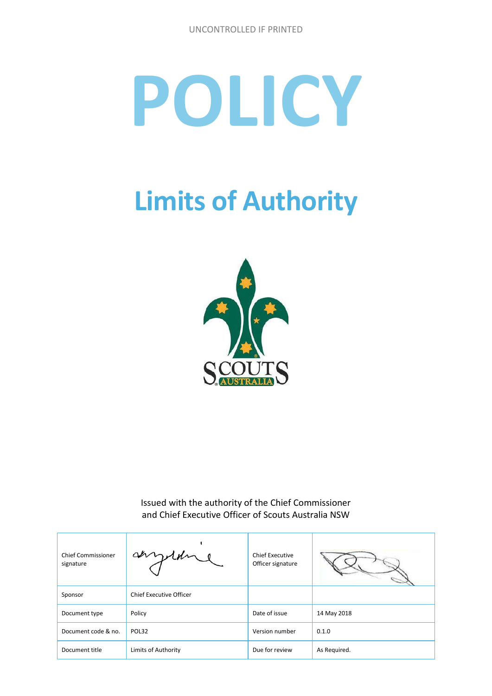# **POLICY**

# **Limits of Authority**



Issued with the authority of the Chief Commissioner and Chief Executive Officer of Scouts Australia NSW

| <b>Chief Commissioner</b><br>signature | anythine                | <b>Chief Executive</b><br>Officer signature |              |
|----------------------------------------|-------------------------|---------------------------------------------|--------------|
| Sponsor                                | Chief Executive Officer |                                             |              |
| Document type                          | Policy                  | Date of issue                               | 14 May 2018  |
| Document code & no.                    | POL32                   | Version number                              | 0.1.0        |
| Document title                         | Limits of Authority     | Due for review                              | As Required. |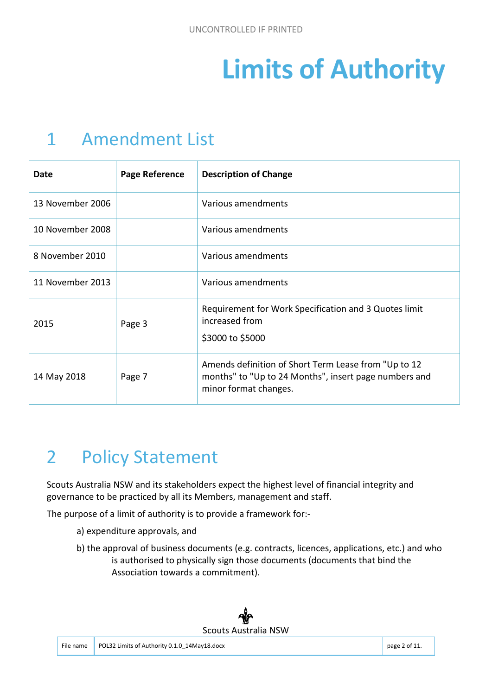# **Limits of Authority**

### 1 Amendment List

| Date             | Page Reference | <b>Description of Change</b>                                                                                                           |
|------------------|----------------|----------------------------------------------------------------------------------------------------------------------------------------|
| 13 November 2006 |                | Various amendments                                                                                                                     |
| 10 November 2008 |                | Various amendments                                                                                                                     |
| 8 November 2010  |                | Various amendments                                                                                                                     |
| 11 November 2013 |                | Various amendments                                                                                                                     |
| 2015             | Page 3         | Requirement for Work Specification and 3 Quotes limit<br>increased from<br>\$3000 to \$5000                                            |
| 14 May 2018      | Page 7         | Amends definition of Short Term Lease from "Up to 12<br>months" to "Up to 24 Months", insert page numbers and<br>minor format changes. |

## 2 Policy Statement

Scouts Australia NSW and its stakeholders expect the highest level of financial integrity and governance to be practiced by all its Members, management and staff.

The purpose of a limit of authority is to provide a framework for:-

- a) expenditure approvals, and
- b) the approval of business documents (e.g. contracts, licences, applications, etc.) and who is authorised to physically sign those documents (documents that bind the Association towards a commitment).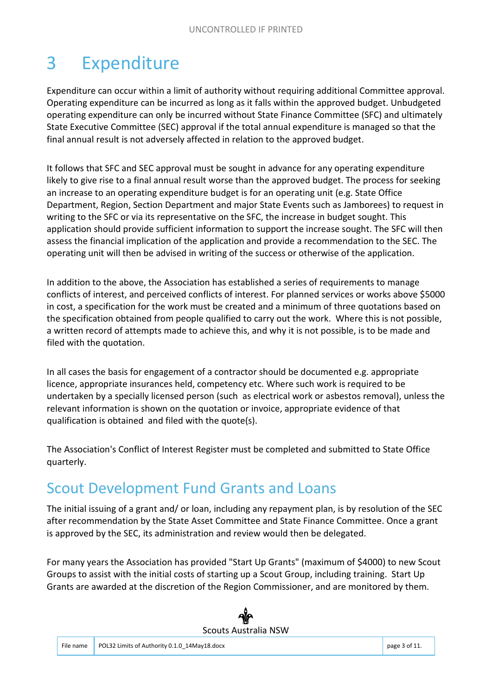# 3 Expenditure

Expenditure can occur within a limit of authority without requiring additional Committee approval. Operating expenditure can be incurred as long as it falls within the approved budget. Unbudgeted operating expenditure can only be incurred without State Finance Committee (SFC) and ultimately State Executive Committee (SEC) approval if the total annual expenditure is managed so that the final annual result is not adversely affected in relation to the approved budget.

It follows that SFC and SEC approval must be sought in advance for any operating expenditure likely to give rise to a final annual result worse than the approved budget. The process for seeking an increase to an operating expenditure budget is for an operating unit (e.g. State Office Department, Region, Section Department and major State Events such as Jamborees) to request in writing to the SFC or via its representative on the SFC, the increase in budget sought. This application should provide sufficient information to support the increase sought. The SFC will then assess the financial implication of the application and provide a recommendation to the SEC. The operating unit will then be advised in writing of the success or otherwise of the application.

In addition to the above, the Association has established a series of requirements to manage conflicts of interest, and perceived conflicts of interest. For planned services or works above \$5000 in cost, a specification for the work must be created and a minimum of three quotations based on the specification obtained from people qualified to carry out the work. Where this is not possible, a written record of attempts made to achieve this, and why it is not possible, is to be made and filed with the quotation.

In all cases the basis for engagement of a contractor should be documented e.g. appropriate licence, appropriate insurances held, competency etc. Where such work is required to be undertaken by a specially licensed person (such as electrical work or asbestos removal), unless the relevant information is shown on the quotation or invoice, appropriate evidence of that qualification is obtained and filed with the quote(s).

The Association's Conflict of Interest Register must be completed and submitted to State Office quarterly.

#### Scout Development Fund Grants and Loans

The initial issuing of a grant and/ or loan, including any repayment plan, is by resolution of the SEC after recommendation by the State Asset Committee and State Finance Committee. Once a grant is approved by the SEC, its administration and review would then be delegated.

For many years the Association has provided "Start Up Grants" (maximum of \$4000) to new Scout Groups to assist with the initial costs of starting up a Scout Group, including training. Start Up Grants are awarded at the discretion of the Region Commissioner, and are monitored by them.

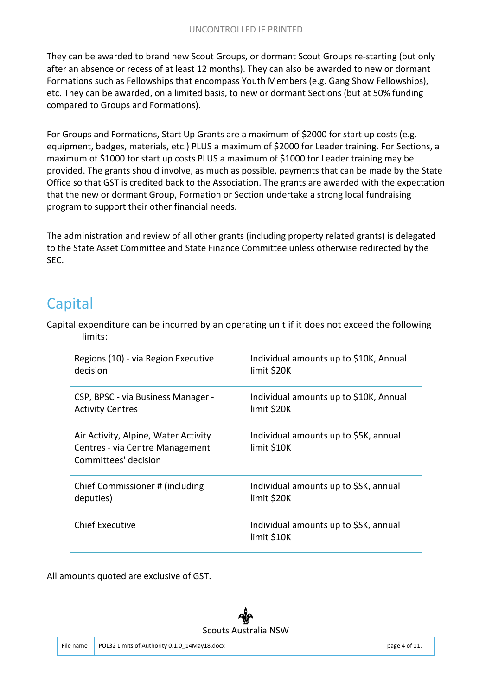They can be awarded to brand new Scout Groups, or dormant Scout Groups re-starting (but only after an absence or recess of at least 12 months). They can also be awarded to new or dormant Formations such as Fellowships that encompass Youth Members (e.g. Gang Show Fellowships), etc. They can be awarded, on a limited basis, to new or dormant Sections (but at 50% funding compared to Groups and Formations).

For Groups and Formations, Start Up Grants are a maximum of \$2000 for start up costs (e.g. equipment, badges, materials, etc.) PLUS a maximum of \$2000 for Leader training. For Sections, a maximum of \$1000 for start up costs PLUS a maximum of \$1000 for Leader training may be provided. The grants should involve, as much as possible, payments that can be made by the State Office so that GST is credited back to the Association. The grants are awarded with the expectation that the new or dormant Group, Formation or Section undertake a strong local fundraising program to support their other financial needs.

The administration and review of all other grants (including property related grants) is delegated to the State Asset Committee and State Finance Committee unless otherwise redirected by the SEC.

#### Capital

Capital expenditure can be incurred by an operating unit if it does not exceed the following limits:

| Regions (10) - via Region Executive                                                             | Individual amounts up to \$10K, Annual               |
|-------------------------------------------------------------------------------------------------|------------------------------------------------------|
| decision                                                                                        | limit \$20K                                          |
| CSP, BPSC - via Business Manager -                                                              | Individual amounts up to \$10K, Annual               |
| <b>Activity Centres</b>                                                                         | limit \$20K                                          |
| Air Activity, Alpine, Water Activity<br>Centres - via Centre Management<br>Committees' decision | Individual amounts up to \$5K, annual<br>limit \$10K |
| Chief Commissioner # (including                                                                 | Individual amounts up to \$SK, annual                |
| deputies)                                                                                       | limit \$20K                                          |
| <b>Chief Executive</b>                                                                          | Individual amounts up to \$SK, annual<br>limit \$10K |

All amounts quoted are exclusive of GST.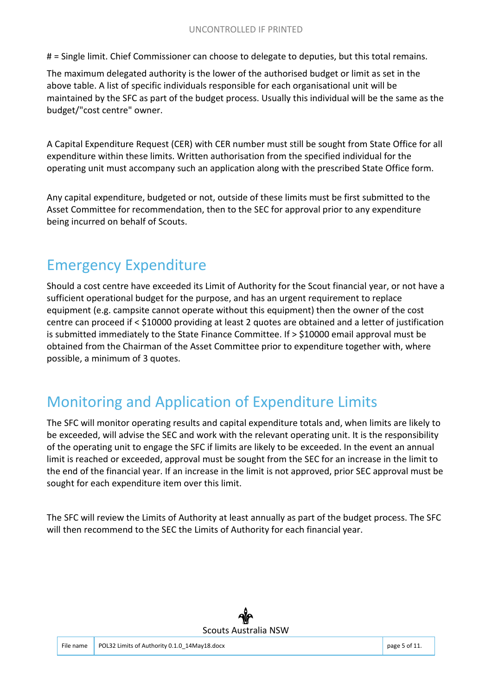# = Single limit. Chief Commissioner can choose to delegate to deputies, but this total remains.

The maximum delegated authority is the lower of the authorised budget or limit as set in the above table. A list of specific individuals responsible for each organisational unit will be maintained by the SFC as part of the budget process. Usually this individual will be the same as the budget/"cost centre" owner.

A Capital Expenditure Request (CER) with CER number must still be sought from State Office for all expenditure within these limits. Written authorisation from the specified individual for the operating unit must accompany such an application along with the prescribed State Office form.

Any capital expenditure, budgeted or not, outside of these limits must be first submitted to the Asset Committee for recommendation, then to the SEC for approval prior to any expenditure being incurred on behalf of Scouts.

#### Emergency Expenditure

Should a cost centre have exceeded its Limit of Authority for the Scout financial year, or not have a sufficient operational budget for the purpose, and has an urgent requirement to replace equipment (e.g. campsite cannot operate without this equipment) then the owner of the cost centre can proceed if < \$10000 providing at least 2 quotes are obtained and a letter of justification is submitted immediately to the State Finance Committee. If > \$10000 email approval must be obtained from the Chairman of the Asset Committee prior to expenditure together with, where possible, a minimum of 3 quotes.

#### Monitoring and Application of Expenditure Limits

The SFC will monitor operating results and capital expenditure totals and, when limits are likely to be exceeded, will advise the SEC and work with the relevant operating unit. It is the responsibility of the operating unit to engage the SFC if limits are likely to be exceeded. In the event an annual limit is reached or exceeded, approval must be sought from the SEC for an increase in the limit to the end of the financial year. If an increase in the limit is not approved, prior SEC approval must be sought for each expenditure item over this limit.

The SFC will review the Limits of Authority at least annually as part of the budget process. The SFC will then recommend to the SEC the Limits of Authority for each financial year.

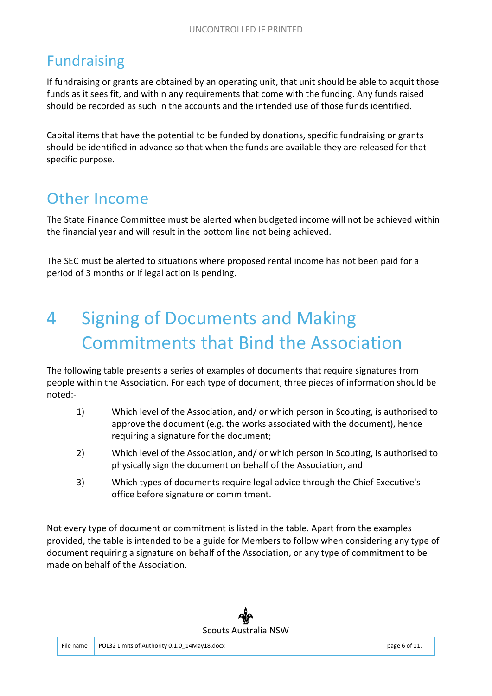#### Fundraising

If fundraising or grants are obtained by an operating unit, that unit should be able to acquit those funds as it sees fit, and within any requirements that come with the funding. Any funds raised should be recorded as such in the accounts and the intended use of those funds identified.

Capital items that have the potential to be funded by donations, specific fundraising or grants should be identified in advance so that when the funds are available they are released for that specific purpose.

#### Other Income

The State Finance Committee must be alerted when budgeted income will not be achieved within the financial year and will result in the bottom line not being achieved.

The SEC must be alerted to situations where proposed rental income has not been paid for a period of 3 months or if legal action is pending.

# 4 Signing of Documents and Making Commitments that Bind the Association

The following table presents a series of examples of documents that require signatures from people within the Association. For each type of document, three pieces of information should be noted:-

- 1) Which level of the Association, and/ or which person in Scouting, is authorised to approve the document (e.g. the works associated with the document), hence requiring a signature for the document;
- 2) Which level of the Association, and/ or which person in Scouting, is authorised to physically sign the document on behalf of the Association, and
- 3) Which types of documents require legal advice through the Chief Executive's office before signature or commitment.

Not every type of document or commitment is listed in the table. Apart from the examples provided, the table is intended to be a guide for Members to follow when considering any type of document requiring a signature on behalf of the Association, or any type of commitment to be made on behalf of the Association.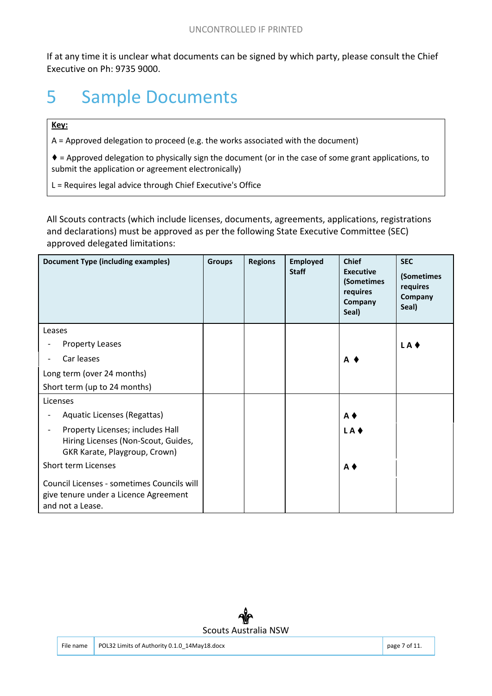If at any time it is unclear what documents can be signed by which party, please consult the Chief Executive on Ph: 9735 9000.

### 5 Sample Documents

#### **Key:**

A = Approved delegation to proceed (e.g. the works associated with the document)

♦ = Approved delegation to physically sign the document (or in the case of some grant applications, to submit the application or agreement electronically)

L = Requires legal advice through Chief Executive's Office

All Scouts contracts (which include licenses, documents, agreements, applications, registrations and declarations) must be approved as per the following State Executive Committee (SEC) approved delegated limitations:

| <b>Document Type (including examples)</b>                                                                                            | <b>Groups</b> | <b>Regions</b> | <b>Employed</b><br><b>Staff</b> | <b>Chief</b><br><b>Executive</b><br>(Sometimes<br>requires<br>Company<br>Seal) | <b>SEC</b><br>(Sometimes<br>requires<br>Company<br>Seal) |
|--------------------------------------------------------------------------------------------------------------------------------------|---------------|----------------|---------------------------------|--------------------------------------------------------------------------------|----------------------------------------------------------|
| Leases                                                                                                                               |               |                |                                 |                                                                                |                                                          |
| <b>Property Leases</b>                                                                                                               |               |                |                                 |                                                                                | LA +                                                     |
| Car leases                                                                                                                           |               |                |                                 | A 1                                                                            |                                                          |
| Long term (over 24 months)                                                                                                           |               |                |                                 |                                                                                |                                                          |
| Short term (up to 24 months)                                                                                                         |               |                |                                 |                                                                                |                                                          |
| Licenses                                                                                                                             |               |                |                                 |                                                                                |                                                          |
| Aquatic Licenses (Regattas)                                                                                                          |               |                |                                 | $A$ $\blacklozenge$                                                            |                                                          |
| Property Licenses; includes Hall<br>$\overline{\phantom{a}}$<br>Hiring Licenses (Non-Scout, Guides,<br>GKR Karate, Playgroup, Crown) |               |                |                                 | LA ♦                                                                           |                                                          |
| <b>Short term Licenses</b>                                                                                                           |               |                |                                 | $A$ $\blacklozenge$                                                            |                                                          |
| Council Licenses - sometimes Councils will<br>give tenure under a Licence Agreement<br>and not a Lease.                              |               |                |                                 |                                                                                |                                                          |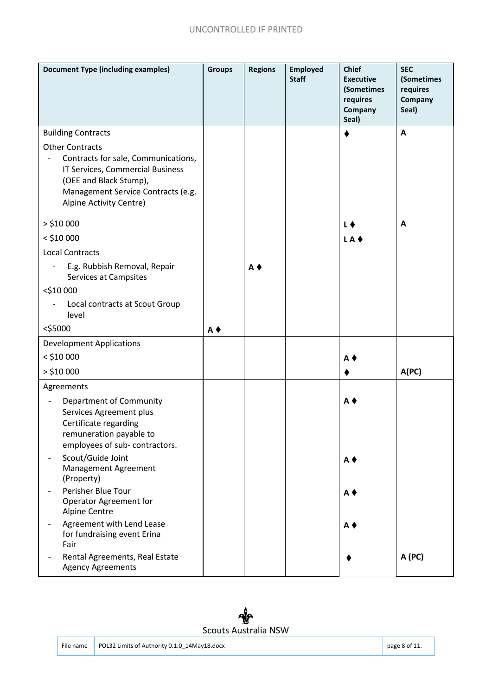#### UNCONTROLLED IF PRINTED

| <b>Document Type (including examples)</b>                                                                                                                                                    | <b>Groups</b>     | <b>Regions</b>    | <b>Employed</b><br><b>Staff</b> | <b>Chief</b><br><b>Executive</b><br>(Sometimes<br>requires<br>Company<br>Seal) | <b>SEC</b><br>(Sometimes<br>requires<br>Company<br>Seal) |
|----------------------------------------------------------------------------------------------------------------------------------------------------------------------------------------------|-------------------|-------------------|---------------------------------|--------------------------------------------------------------------------------|----------------------------------------------------------|
| <b>Building Contracts</b>                                                                                                                                                                    |                   |                   |                                 |                                                                                | A                                                        |
| <b>Other Contracts</b><br>Contracts for sale, Communications,<br>IT Services, Commercial Business<br>(OEE and Black Stump),<br>Management Service Contracts (e.g.<br>Alpine Activity Centre) |                   |                   |                                 |                                                                                |                                                          |
| $>$ \$10 000                                                                                                                                                                                 |                   |                   |                                 | L (                                                                            | A                                                        |
| $<$ \$10 000                                                                                                                                                                                 |                   |                   |                                 | LA                                                                             |                                                          |
| <b>Local Contracts</b>                                                                                                                                                                       |                   |                   |                                 |                                                                                |                                                          |
| E.g. Rubbish Removal, Repair<br>Services at Campsites                                                                                                                                        |                   | $A \triangleleft$ |                                 |                                                                                |                                                          |
| <\$10 000                                                                                                                                                                                    |                   |                   |                                 |                                                                                |                                                          |
| Local contracts at Scout Group<br>level                                                                                                                                                      |                   |                   |                                 |                                                                                |                                                          |
| $<$ \$5000                                                                                                                                                                                   | $A \triangleleft$ |                   |                                 |                                                                                |                                                          |
| <b>Development Applications</b>                                                                                                                                                              |                   |                   |                                 |                                                                                |                                                          |
| $<$ \$10 000                                                                                                                                                                                 |                   |                   |                                 | $A \blacklozenge$                                                              |                                                          |
|                                                                                                                                                                                              |                   |                   |                                 |                                                                                |                                                          |
| $>$ \$10 000                                                                                                                                                                                 |                   |                   |                                 |                                                                                | A(PC)                                                    |
| Agreements                                                                                                                                                                                   |                   |                   |                                 |                                                                                |                                                          |
| Department of Community<br>Services Agreement plus<br>Certificate regarding<br>remuneration payable to<br>employees of sub-contractors.                                                      |                   |                   |                                 | A                                                                              |                                                          |
| Scout/Guide Joint<br>Management Agreement<br>(Property)                                                                                                                                      |                   |                   |                                 | $A \triangleleft$                                                              |                                                          |
| Perisher Blue Tour<br>Operator Agreement for<br><b>Alpine Centre</b>                                                                                                                         |                   |                   |                                 | $A$ $\blacklozenge$                                                            |                                                          |
| Agreement with Lend Lease<br>for fundraising event Erina<br>Fair                                                                                                                             |                   |                   |                                 | A                                                                              |                                                          |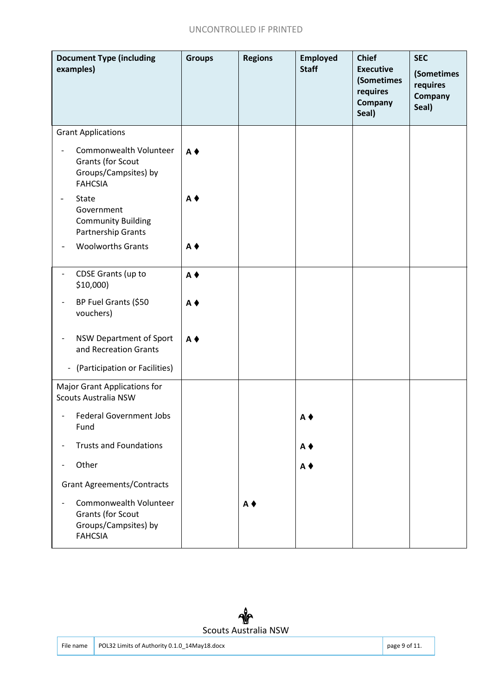#### UNCONTROLLED IF PRINTED

| <b>Document Type (including</b><br>examples)                                          | <b>Groups</b>       | <b>Regions</b>      | <b>Employed</b><br><b>Staff</b> | <b>Chief</b><br><b>Executive</b><br>(Sometimes<br>requires<br>Company<br>Seal) | <b>SEC</b><br>(Sometimes<br>requires<br>Company<br>Seal) |
|---------------------------------------------------------------------------------------|---------------------|---------------------|---------------------------------|--------------------------------------------------------------------------------|----------------------------------------------------------|
| <b>Grant Applications</b>                                                             |                     |                     |                                 |                                                                                |                                                          |
| Commonwealth Volunteer<br>Grants (for Scout<br>Groups/Campsites) by<br><b>FAHCSIA</b> | $A \triangleleft$   |                     |                                 |                                                                                |                                                          |
| <b>State</b><br>Government<br><b>Community Building</b><br>Partnership Grants         | A (                 |                     |                                 |                                                                                |                                                          |
| <b>Woolworths Grants</b>                                                              | $A$ $\blacklozenge$ |                     |                                 |                                                                                |                                                          |
| CDSE Grants (up to<br>$$10,000$ )                                                     | $A \triangleleft$   |                     |                                 |                                                                                |                                                          |
| BP Fuel Grants (\$50<br>vouchers)                                                     | A♦                  |                     |                                 |                                                                                |                                                          |
| NSW Department of Sport<br>and Recreation Grants                                      | $A$ $\triangle$     |                     |                                 |                                                                                |                                                          |
| (Participation or Facilities)<br>$\blacksquare$                                       |                     |                     |                                 |                                                                                |                                                          |
| <b>Major Grant Applications for</b><br><b>Scouts Australia NSW</b>                    |                     |                     |                                 |                                                                                |                                                          |
| <b>Federal Government Jobs</b><br>Fund                                                |                     |                     | A♦                              |                                                                                |                                                          |
| <b>Trusts and Foundations</b>                                                         |                     |                     | $A$ $\blacklozenge$             |                                                                                |                                                          |
| Other                                                                                 |                     |                     | $A$ $\blacklozenge$             |                                                                                |                                                          |
| <b>Grant Agreements/Contracts</b>                                                     |                     |                     |                                 |                                                                                |                                                          |
| Commonwealth Volunteer<br>Grants (for Scout<br>Groups/Campsites) by<br><b>FAHCSIA</b> |                     | $A$ $\blacklozenge$ |                                 |                                                                                |                                                          |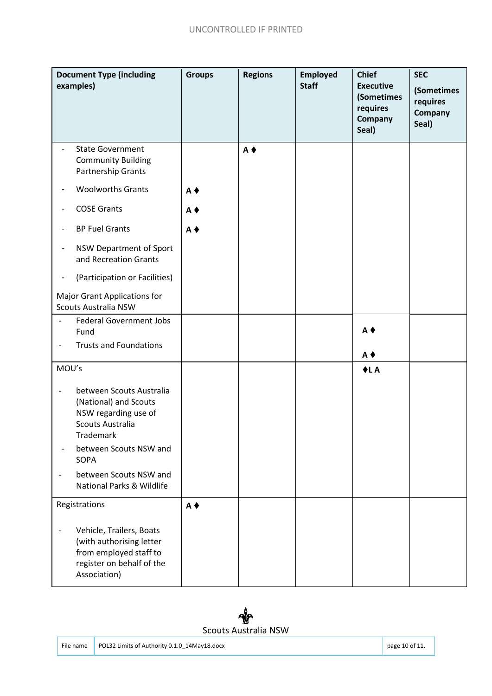| <b>Document Type (including</b><br>examples)                       |                                                                                                                             | <b>Groups</b>     | <b>Regions</b>    | <b>Employed</b><br><b>Staff</b> | <b>Chief</b><br><b>Executive</b><br>(Sometimes<br>requires<br>Company<br>Seal) | <b>SEC</b><br>(Sometimes<br>requires<br>Company<br>Seal) |
|--------------------------------------------------------------------|-----------------------------------------------------------------------------------------------------------------------------|-------------------|-------------------|---------------------------------|--------------------------------------------------------------------------------|----------------------------------------------------------|
|                                                                    | <b>State Government</b><br><b>Community Building</b><br><b>Partnership Grants</b>                                           |                   | $A \triangleleft$ |                                 |                                                                                |                                                          |
|                                                                    | <b>Woolworths Grants</b>                                                                                                    | $A$ $\bullet$     |                   |                                 |                                                                                |                                                          |
|                                                                    | <b>COSE Grants</b>                                                                                                          | $A \triangleleft$ |                   |                                 |                                                                                |                                                          |
|                                                                    | <b>BP Fuel Grants</b>                                                                                                       | $A \triangleleft$ |                   |                                 |                                                                                |                                                          |
| $\overline{\phantom{a}}$                                           | NSW Department of Sport<br>and Recreation Grants                                                                            |                   |                   |                                 |                                                                                |                                                          |
|                                                                    | (Participation or Facilities)                                                                                               |                   |                   |                                 |                                                                                |                                                          |
| <b>Major Grant Applications for</b><br><b>Scouts Australia NSW</b> |                                                                                                                             |                   |                   |                                 |                                                                                |                                                          |
| $\qquad \qquad \blacksquare$                                       | <b>Federal Government Jobs</b><br>Fund                                                                                      |                   |                   |                                 | $A \triangleleft$                                                              |                                                          |
|                                                                    | <b>Trusts and Foundations</b>                                                                                               |                   |                   |                                 | $A$ $\blacklozenge$                                                            |                                                          |
| MOU's                                                              |                                                                                                                             |                   |                   |                                 | $+LA$                                                                          |                                                          |
| $\overline{\phantom{0}}$                                           | between Scouts Australia<br>(National) and Scouts<br>NSW regarding use of<br><b>Scouts Australia</b><br><b>Trademark</b>    |                   |                   |                                 |                                                                                |                                                          |
|                                                                    | between Scouts NSW and<br>SOPA                                                                                              |                   |                   |                                 |                                                                                |                                                          |
|                                                                    | between Scouts NSW and<br>National Parks & Wildlife                                                                         |                   |                   |                                 |                                                                                |                                                          |
| Registrations                                                      |                                                                                                                             | $A \triangleleft$ |                   |                                 |                                                                                |                                                          |
| $\overline{\phantom{0}}$                                           | Vehicle, Trailers, Boats<br>(with authorising letter<br>from employed staff to<br>register on behalf of the<br>Association) |                   |                   |                                 |                                                                                |                                                          |